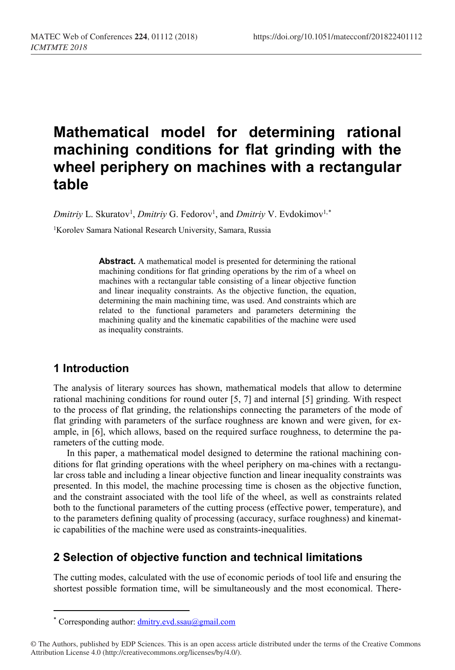# **Mathematical model for determining rational machining conditions for flat grinding with the wheel periphery on machines with a rectangular table**

 $D$ *mitriy* L. Skuratov<sup>1</sup>, *Dmitriy* G. Fedorov<sup>1</sup>, and *Dmitriy* V. Evdokimov<sup>1,[\\*](#page-0-0)</sup>

<sup>1</sup>Korolev Samara National Research University, Samara, Russia

**Abstract.** A mathematical model is presented for determining the rational machining conditions for flat grinding operations by the rim of a wheel on machines with a rectangular table consisting of a linear objective function and linear inequality constraints. As the objective function, the equation, determining the main machining time, was used. And constraints which are related to the functional parameters and parameters determining the machining quality and the kinematic capabilities of the machine were used as inequality constraints.

# **1 Introduction**

 $\overline{\phantom{a}}$ 

The analysis of literary sources has shown, mathematical models that allow to determine rational machining conditions for round outer [\[5,](#page-6-0) [7\]](#page-6-1) and internal [\[5\]](#page-6-0) grinding. With respect to the process of flat grinding, the relationships connecting the parameters of the mode of flat grinding with parameters of the surface roughness are known and were given, for example, in [\[6\]](#page-6-2), which allows, based on the required surface roughness, to determine the parameters of the cutting mode.

In this paper, a mathematical model designed to determine the rational machining conditions for flat grinding operations with the wheel periphery on ma-chines with a rectangular cross table and including a linear objective function and linear inequality constraints was presented. In this model, the machine processing time is chosen as the objective function, and the constraint associated with the tool life of the wheel, as well as constraints related both to the functional parameters of the cutting process (effective power, temperature), and to the parameters defining quality of processing (accuracy, surface roughness) and kinematic capabilities of the machine were used as constraints-inequalities.

# **2 Selection of objective function and technical limitations**

The cutting modes, calculated with the use of economic periods of tool life and ensuring the shortest possible formation time, will be simultaneously and the most economical. There-

<sup>\*</sup> Corresponding author: dmitry.evd.ssau@gmail.com

<span id="page-0-0"></span><sup>©</sup> The Authors, published by EDP Sciences. This is an open access article distributed under the terms of the Creative Commons Attribution License 4.0 (http://creativecommons.org/licenses/by/4.0/).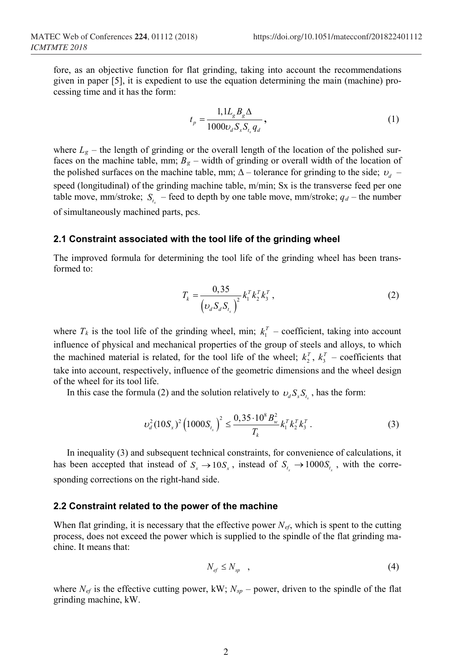fore, as an objective function for flat grinding, taking into account the recommendations given in paper [\[5\]](#page-6-0), it is expedient to use the equation determining the main (machine) processing time and it has the form:

$$
t_p = \frac{1,1L_g B_g \Delta}{1000 \nu_d S_x S_{t_x} q_d},
$$
\n(1)

where  $L_g$  – the length of grinding or the overall length of the location of the polished surfaces on the machine table, mm;  $B_g$  – width of grinding or overall width of the location of the polished surfaces on the machine table, mm;  $\Delta$  – tolerance for grinding to the side;  $v_d$  – speed (longitudinal) of the grinding machine table, m/min; Sx is the transverse feed per one table move, mm/stroke;  $S_t$  – feed to depth by one table move, mm/stroke;  $q_d$  – the number of simultaneously machined parts, pcs.

#### **2.1 Constraint associated with the tool life of the grinding wheel**

The improved formula for determining the tool life of the grinding wheel has been transformed to:

$$
T_k = \frac{0,35}{\left(\nu_d S_d S_{t_x}\right)^2} k_1^T k_2^T k_3^T , \qquad (2)
$$

where  $T_k$  is the tool life of the grinding wheel, min;  $k_1^T$  – coefficient, taking into account influence of physical and mechanical properties of the group of steels and alloys, to which the machined material is related, for the tool life of the wheel;  $k_2^T$ ,  $k_3^T$  – coefficients that take into account, respectively, influence of the geometric dimensions and the wheel design of the wheel for its tool life.

In this case the formula (2) and the solution relatively to  $v_d S_x S_y$ , has the form:

$$
\nu_d^2 (10S_x)^2 \left( 1000 S_{t_x} \right)^2 \le \frac{0, 35 \cdot 10^8 B_w^2}{T_k} k_1^T k_2^T k_3^T \,. \tag{3}
$$

In inequality (3) and subsequent technical constraints, for convenience of calculations, it has been accepted that instead of  $S_x \rightarrow 10 S_x$ , instead of  $S_t \rightarrow 1000 S_t$ , with the corresponding corrections on the right-hand side.

#### **2.2 Constraint related to the power of the machine**

When flat grinding, it is necessary that the effective power *Nef*, which is spent to the cutting process, does not exceed the power which is supplied to the spindle of the flat grinding machine. It means that:

$$
N_{\text{ef}} \leq N_{\text{sp}} \quad , \tag{4}
$$

where  $N_{ef}$  is the effective cutting power, kW;  $N_{sp}$  – power, driven to the spindle of the flat grinding machine, kW.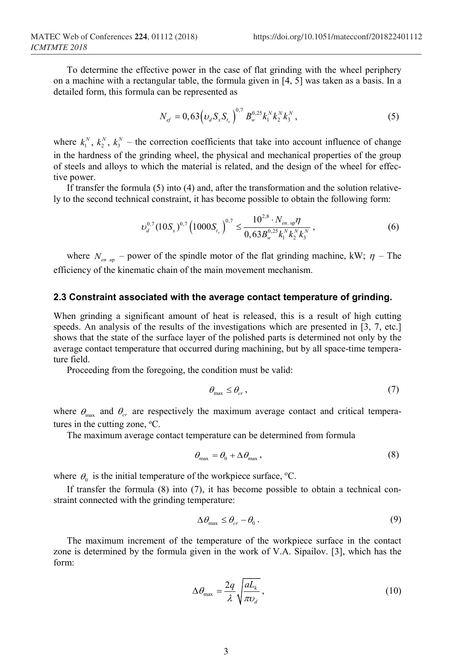To determine the effective power in the case of flat grinding with the wheel periphery on a machine with a rectangular table, the formula given in [\[4,](#page-6-3) [5\]](#page-6-0) was taken as a basis. In a detailed form, this formula can be represented as

$$
N_{ef} = 0,63 \left( v_d S_x S_{t_x} \right)^{0,7} B_w^{0,25} k_1^N k_2^N k_3^N,
$$
 (5)

where  $k_1^N$ ,  $k_2^N$ ,  $k_3^N$  – the correction coefficients that take into account influence of change in the hardness of the grinding wheel, the physical and mechanical properties of the group of steels and alloys to which the material is related, and the design of the wheel for effective power.

If transfer the formula (5) into (4) and, after the transformation and the solution relatively to the second technical constraint, it has become possible to obtain the following form:

$$
\nu_d^{0.7} (10S_x)^{0.7} \left(1000S_{t_x}\right)^{0.7} \leq \frac{10^{2.8} \cdot N_{en.\,\mathrm{sp}} \eta}{0.63 B_w^{0.25} k_1^N k_2^N k_3^N},\tag{6}
$$

where  $N_{en,sp}$  – power of the spindle motor of the flat grinding machine, kW;  $\eta$  – The efficiency of the kinematic chain of the main movement mechanism.

## **2.3 Constraint associated with the average contact temperature of grinding.**

When grinding a significant amount of heat is released, this is a result of high cutting speeds. An analysis of the results of the investigations which are presented in [\[3,](#page-6-4) [7,](#page-6-1) etc.] shows that the state of the surface layer of the polished parts is determined not only by the average contact temperature that occurred during machining, but by all space-time temperature field.

Proceeding from the foregoing, the condition must be valid:

$$
\theta_{\text{max}} \le \theta_{cr},\tag{7}
$$

where  $\theta_{\text{max}}$  and  $\theta_{cr}$  are respectively the maximum average contact and critical temperatures in the cutting zone, °C.

The maximum average contact temperature can be determined from formula

$$
\theta_{\text{max}} = \theta_0 + \Delta \theta_{\text{max}}\,,\tag{8}
$$

where  $\theta_0$  is the initial temperature of the workpiece surface, <sup>o</sup>C.

If transfer the formula (8) into (7), it has become possible to obtain a technical constraint connected with the grinding temperature:

$$
\Delta \theta_{\text{max}} \leq \theta_{cr} - \theta_0 \,. \tag{9}
$$

The maximum increment of the temperature of the workpiece surface in the contact zone is determined by the formula given in the work of V.A. Sipailov. [\[3\]](#page-6-4), which has the form:

$$
\Delta \theta_{\text{max}} = \frac{2q}{\lambda} \sqrt{\frac{aL_k}{\pi v_d}}\,,\tag{10}
$$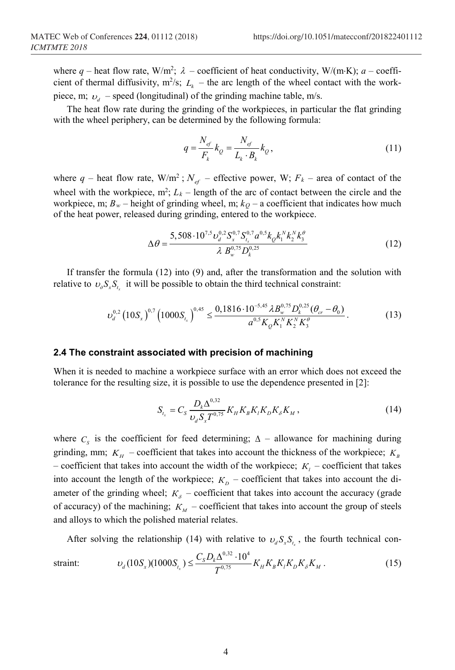where  $q$  – heat flow rate, W/m<sup>2</sup>;  $\lambda$  – coefficient of heat conductivity, W/(m⋅K);  $a$  – coefficient of thermal diffusivity,  $m^2/s$ ;  $L_k$  – the arc length of the wheel contact with the workpiece, m;  $v_d$  – speed (longitudinal) of the grinding machine table, m/s.

The heat flow rate during the grinding of the workpieces, in particular the flat grinding with the wheel periphery, can be determined by the following formula:

$$
q = \frac{N_{ef}}{F_k} k_Q = \frac{N_{ef}}{L_k \cdot B_k} k_Q,
$$
\n(11)

where  $q$  – heat flow rate,  $W/m^2$ ;  $N_{ef}$  – effective power, W;  $F_k$  – area of contact of the wheel with the workpiece,  $m^2$ ;  $L_k$  – length of the arc of contact between the circle and the workpiece, m;  $B_w$  – height of grinding wheel, m;  $k_O$  – a coefficient that indicates how much of the heat power, released during grinding, entered to the workpiece.

$$
\Delta\theta = \frac{5,508 \cdot 10^{7.5} v_d^{0.2} S_x^{0.7} S_{t_x}^{0.7} a^{0.5} k_0 k_1^N k_2^N k_3^{\theta}}{\lambda B_w^{0.75} D_k^{0.25}}
$$
(12)

If transfer the formula (12) into (9) and, after the transformation and the solution with relative to  $v_a S_x S_t$  it will be possible to obtain the third technical constraint:

$$
\upsilon_d^{0,2} \left(10S_x\right)^{0,7} \left(1000S_{t_x}\right)^{0,45} \leq \frac{0,1816 \cdot 10^{-5,45} \lambda B_w^{0,75} D_k^{0,25} (\theta_{cr} - \theta_0)}{a^{0,5} K_Q K_1^N K_2^N K_3^0}.
$$
 (13)

#### **2.4 The constraint associated with precision of machining**

When it is needed to machine a workpiece surface with an error which does not exceed the tolerance for the resulting size, it is possible to use the dependence presented in [\[2\]](#page-6-5):

$$
S_{t_x} = C_S \frac{D_k \Delta^{0.32}}{\nu_d S_x T^{0.75}} K_H K_B K_i K_D K_\delta K_M, \qquad (14)
$$

where  $C_s$  is the coefficient for feed determining;  $\Delta$  – allowance for machining during grinding, mm;  $K_H$  – coefficient that takes into account the thickness of the workpiece;  $K_B$ – coefficient that takes into account the width of the workpiece;  $K<sub>i</sub>$  – coefficient that takes into account the length of the workpiece;  $K<sub>D</sub>$  – coefficient that takes into account the diameter of the grinding wheel;  $K_{\delta}$  – coefficient that takes into account the accuracy (grade of accuracy) of the machining;  $K_M$  – coefficient that takes into account the group of steels and alloys to which the polished material relates.

After solving the relationship (14) with relative to  $v_d S_r S_t$ , the fourth technical con-

$$
\text{strain:} \qquad \qquad \upsilon_d (10S_x)(1000S_{t_x}) \le \frac{C_S D_k \Delta^{0,32} \cdot 10^4}{T^{0,75}} K_H K_B K_t K_D K_\delta K_M \,. \tag{15}
$$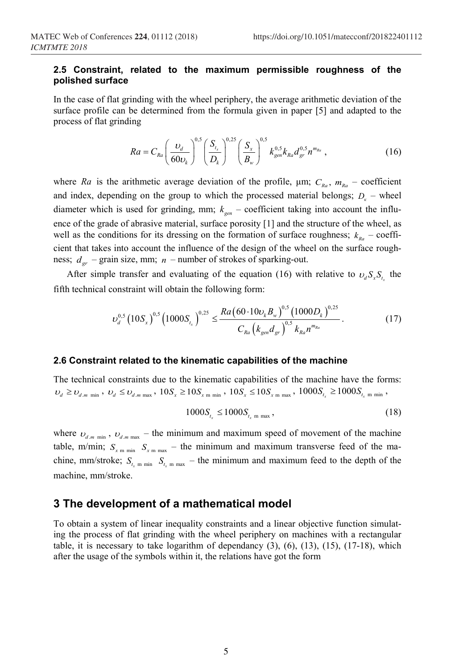### **2.5 Constraint, related to the maximum permissible roughness of the polished surface**

In the case of flat grinding with the wheel periphery, the average arithmetic deviation of the surface profile can be determined from the formula given in paper [\[5\]](#page-6-0) and adapted to the process of flat grinding

$$
Ra = C_{Ra} \left(\frac{\upsilon_d}{60\upsilon_k}\right)^{0.5} \left(\frac{S_{t_x}}{D_k}\right)^{0.25} \left(\frac{S_x}{B_w}\right)^{0.5} k_{gen}^{0.5} k_{Ra} d_{gr}^{0.5} n^{m_{Ra}} , \qquad (16)
$$

where *Ra* is the arithmetic average deviation of the profile,  $\mu$ m;  $C_{Ra}$ ,  $m_{Ra}$  – coefficient and index, depending on the group to which the processed material belongs;  $D<sub>k</sub>$  – wheel diameter which is used for grinding, mm;  $k_{gen}$  – coefficient taking into account the influence of the grade of abrasive material, surface porosity [\[1\]](#page-6-6) and the structure of the wheel, as well as the conditions for its dressing on the formation of surface roughness;  $k_{Ra}$  – coefficient that takes into account the influence of the design of the wheel on the surface roughness;  $d_{rr}$  – grain size, mm;  $n$  – number of strokes of sparking-out.

After simple transfer and evaluating of the equation (16) with relative to  $v_d S_x S_{t_x}$  the fifth technical constraint will obtain the following form:

$$
\nu_d^{0.5} \left(10 S_x\right)^{0.5} \left(1000 S_{t_x}\right)^{0.25} \leq \frac{Ra \left(60 \cdot 10 \nu_k B_w\right)^{0.5} \left(1000 D_k\right)^{0.25}}{C_{Ra} \left(k_{gen} d_{gr}\right)^{0.5} k_{Ra} n^{m_{Ra}}}. \tag{17}
$$

#### **2.6 Constraint related to the kinematic capabilities of the machine**

The technical constraints due to the kinematic capabilities of the machine have the forms:  $v_d \ge v_{d,m \text{ min}}$ ,  $v_d \le v_{d,m \text{ max}}$ ,  $10S_x \ge 10S_{x \text{ min}}$ ,  $10S_x \le 10S_{x \text{ min}}$ ,  $1000S_{t_x} \ge 1000S_{t_x \text{ min}}$ ,

$$
1000S_{t_x} \le 1000S_{t_x \text{ m max}}, \tag{18}
$$

where  $v_{d,m,min}$ ,  $v_{d,m,max}$  – the minimum and maximum speed of movement of the machine table, m/min;  $S_{x \text{min}} S_{x \text{min}}$  – the minimum and maximum transverse feed of the machine, mm/stroke;  $S_{t_{m}}$   $\sum_{m \text{ min}} S_{t_{m}}$   $\sum_{m \text{ max}}$  – the minimum and maximum feed to the depth of the machine, mm/stroke.

# **3 The development of a mathematical model**

To obtain a system of linear inequality constraints and a linear objective function simulating the process of flat grinding with the wheel periphery on machines with a rectangular table, it is necessary to take logarithm of dependancy  $(3)$ ,  $(6)$ ,  $(13)$ ,  $(15)$ ,  $(17-18)$ , which after the usage of the symbols within it, the relations have got the form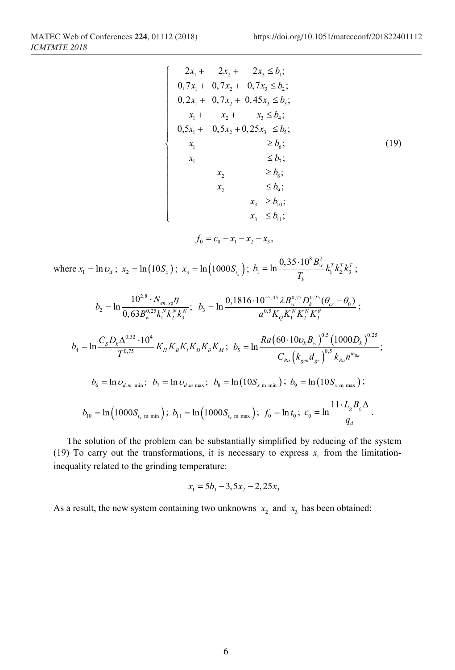$\int$  $\mathbf{I}$  $\overline{1}$  $\overline{1}$  $\mathbf{I}$  $\overline{1}$  $\overline{1}$  $\vert$ ₹  $\overline{1}$  $\mathbf{I}$  $\mathbf{I}$  $\overline{1}$  $\overline{1}$  $\mathbf{I}$  $\mathbf{I}$ 

$$
\begin{cases}\n2x_1 + 2x_2 + 2x_3 \le b_1; \\
0, 7x_1 + 0, 7x_2 + 0, 7x_3 \le b_2; \\
0, 2x_1 + 0, 7x_2 + 0, 45x_3 \le b_3; \\
x_1 + x_2 + x_3 \le b_4; \\
0, 5x_1 + 0, 5x_2 + 0, 25x_3 \le b_5; \\
x_1 \ge b_6; \\
x_1 \le b_7; \\
x_2 \ge b_8; \\
x_2 \le b_9; \\
x_3 \ge b_{10}; \\
x_3 \le b_{11}; \\
x_3 \le b_{11}; \\
x_3 \le b_{11}; \\
x_3 \le b_{11}; \\
x_3 \le b_{11}; \\
x_3 \le b_{12}; \\
x_3 \le b_{12}; \\
x_3 \le b_{12}; \\
x_3 \le b_{13}; \\
x_3 \le b_{13}; \\
x_3 \le b_{13}; \\
x_3 \le b_{12}; \\
x_3 \le b_{13}; \\
x_3 \le b_{13}; \\
x_3 \le b_{13}; \\
x_3 \le b_{13}; \\
x_3 \le b_{13}; \\
x_3 \le b_{13}; \\
x_3 \le b_{13}; \\
x_3 \le b_{13}; \\
x_3 \le b_{13}; \\
x_3 \le b_{13}; \\
x_3 \le b_{13}; \\
x_3 \le b_{13}; \\
x_3 \le b_{13}; \\
x_3 \le b_{13}; \\
x_3 \le b_{13}; \\
x_3 \le b_{13}; \\
x_3 \le b_{13}; \\
x_3 \le b_{13}; \\
x_3 \le b_{13}; \\
x_3 \le b_{13}; \\
x_3 \le b_{13}; \\
x_3 \le b_{13}; \\
x_3 \le b_{13}; \\
x_3 \le b_{13}; \\
x_3 \le b_{13}; \\
x_3 \le b_{13}; \\
x_3 \le b_{13}; \\
x_3 \le b_{13}; \\
x_3 \le b_{13}; \\
x_3 \le b_{13}; \\
x_3 \le b_{13}; \\
x_3 \le b_{13}; \\
x_3 \le b_{13}; \\
x_3 \le b_{13}; \\
x_3 \le b_{13}; \\
x_3 \le b_{13}; \\
x_3 \le b_{13}; \\
x_3 \le b_{13}; \\
x_3 \le b_{13}; \\
x_3
$$

$$
f_0 = c_0 - x_1 - x_2 - x_3,
$$

where  $x_1 = \ln u_d$ ;  $x_2 = \ln(10S_x)$ ;  $x_3 = \ln(1000S_{t_x})$ ;  $b_1 = \ln \frac{0.35 \cdot 10^8 B_w^2}{T}$  $b_1 = \ln \frac{0.35 \cdot 10^8 B_w^2}{T} k_1^T k_2^T k_3^T$ *k*  $b_{\rm l} = \ln \frac{0.35 \cdot 10^8 B_{\rm w}^2}{T_{\rm k}} k_1^T k_2^T k_3^T \; ;$ 

$$
b_{2} = \ln \frac{10^{2.8} \cdot N_{en.\,sp} \eta}{0,63B_{w}^{0.25} k_{1}^{N} k_{2}^{N} k_{3}^{N}}; \ \ b_{3} = \ln \frac{0,1816 \cdot 10^{-5.45} \lambda B_{w}^{0.75} D_{k}^{0.25} (\theta_{cr} - \theta_{0})}{a^{0.5} K_{Q} K_{1}^{N} K_{2}^{N} K_{3}^{q}}; \n b_{4} = \ln \frac{C_{S} D_{k} \Delta^{0.32} \cdot 10^{4}}{T^{0.75}} K_{H} K_{B} K_{i} K_{D} K_{\delta} K_{M}; \ \ b_{5} = \ln \frac{Ra (60 \cdot 10 \nu_{k} B_{w})^{0.5} (1000 D_{k})^{0.25}}{C_{Ra} (k_{gen} d_{gr})^{0.5} k_{Ra} n^{m_{Ra}}}; \n b_{6} = \ln \nu_{d.m.\,min}; \ \ b_{7} = \ln \nu_{d.m.\,max}; \ \ b_{8} = \ln (10 S_{x.\,m.\,min}); \ \ b_{9} = \ln (10 S_{x.\,m.\,max}); \n b_{10} = \ln (1000 S_{t_{x.\,m.\,min}}); \ \ b_{11} = \ln (1000 S_{t_{x.\,m.\,max}}); \ \ f_{0} = \ln t_{0}; \ \ c_{0} = \ln \frac{11 \cdot L_{g} B_{g} \Delta}{q_{d}}.
$$

The solution of the problem can be substantially simplified by reducing of the system (19) To carry out the transformations, it is necessary to express  $x_1$  from the limitationinequality related to the grinding temperature:

$$
x_1 = 5b_3 - 3, 5x_2 - 2, 25x_3
$$

As a result, the new system containing two unknowns  $x_2$  and  $x_3$  has been obtained: